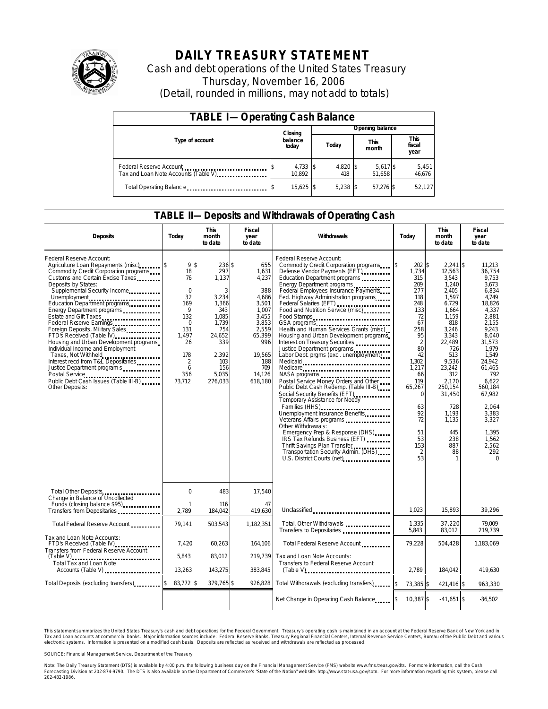

# **DAILY TREASURY STATEMENT**

Cash and debt operations of the United States Treasury Thursday, November 16, 2006 (Detail, rounded in millions, may not add to totals)

| <b>TABLE I-Operating Cash Balance</b>                            |  |                    |  |                 |  |                      |  |                               |  |
|------------------------------------------------------------------|--|--------------------|--|-----------------|--|----------------------|--|-------------------------------|--|
|                                                                  |  | Closing            |  | Opening balance |  |                      |  |                               |  |
| Type of account                                                  |  | balance<br>today   |  | Today           |  | <b>This</b><br>month |  | <b>This</b><br>fiscal<br>year |  |
| Federal Reserve Account<br>Tax and Loan Note Accounts (Table V). |  | 4,733 \$<br>10.892 |  | 4,820 \$<br>418 |  | 5,617 \$<br>51.658   |  | 5,451<br>46,676               |  |
| Total Operating Balance                                          |  | 15,625 \$          |  | $5.238$ \$      |  | 57,276 \$            |  | 52,127                        |  |

### **TABLE II—Deposits and Withdrawals of Operating Cash**

| <b>Deposits</b>                                                                                                                                                                                                                                                                                                                                                                                                                                                                                                                                                                                                                                        | Today                                                                                                                                               | <b>This</b><br>month<br>to date                                                                                                           | <b>Fiscal</b><br>year<br>to date                                                                                                                 | Withdrawals                                                                                                                                                                                                                                                                                                                                                                                                                                                                                                                                                                                                                                                                                                                                                                                                                                                                                                                                                                         | Today                                                                                                                                                                                                         | <b>This</b><br>month<br>to date                                                                                                                                                                                                                       | Fiscal<br>year<br>to date                                                                                                                                                                                                                                                 |
|--------------------------------------------------------------------------------------------------------------------------------------------------------------------------------------------------------------------------------------------------------------------------------------------------------------------------------------------------------------------------------------------------------------------------------------------------------------------------------------------------------------------------------------------------------------------------------------------------------------------------------------------------------|-----------------------------------------------------------------------------------------------------------------------------------------------------|-------------------------------------------------------------------------------------------------------------------------------------------|--------------------------------------------------------------------------------------------------------------------------------------------------|-------------------------------------------------------------------------------------------------------------------------------------------------------------------------------------------------------------------------------------------------------------------------------------------------------------------------------------------------------------------------------------------------------------------------------------------------------------------------------------------------------------------------------------------------------------------------------------------------------------------------------------------------------------------------------------------------------------------------------------------------------------------------------------------------------------------------------------------------------------------------------------------------------------------------------------------------------------------------------------|---------------------------------------------------------------------------------------------------------------------------------------------------------------------------------------------------------------|-------------------------------------------------------------------------------------------------------------------------------------------------------------------------------------------------------------------------------------------------------|---------------------------------------------------------------------------------------------------------------------------------------------------------------------------------------------------------------------------------------------------------------------------|
| Federal Reserve Account:<br>Agriculture Loan Repayments (misc)<br>Commodity Credit Corporation programs<br>Customs and Certain Excise Taxes<br>Deposits by States:<br>Supplemental Security Income<br>Unemployment<br>Education Department programs<br>Energy Department programs<br>Estate and Gift Taxes<br>Federal Reserve Earnings<br>Foreign Deposits, Military Sales<br>FTD's Received (Table IV)<br>Housing and Urban Development programs<br>Individual Income and Employment<br>Taxes, Not Withheld<br>Interest recd from T&L Depositaries<br>Justice Department program s<br>Public Debt Cash Issues (Table III-B)<br><b>Other Deposits:</b> | 9 <sup>5</sup><br>18<br>76<br>$\mathbf 0$<br>32<br>169<br>9<br>132<br>$\Omega$<br>131<br>1.497<br>26<br>178<br>$\overline{2}$<br>6<br>356<br>73,712 | 236 \$<br>297<br>1,137<br>3<br>3,234<br>1,366<br>343<br>1.085<br>1.739<br>754<br>24.652<br>339<br>2,392<br>103<br>156<br>5.035<br>276,033 | 655<br>1,631<br>4,237<br>388<br>4.686<br>3,501<br>1,007<br>3,455<br>3,853<br>2.559<br>65,399<br>996<br>19,565<br>188<br>709<br>14,126<br>618,180 | Federal Reserve Account:<br>Commodity Credit Corporation programs<br>Defense Vendor Payments (EFT)<br>Education Department programs<br>Energy Department programs<br>Federal Employees Insurance Payments<br>Fed. Highway Administration programs<br>Food and Nutrition Service (misc)<br>Food Stamps<br>GSA programs<br>Health and Human Services Grants (misc)<br>Housing and Urban Development programs<br>Interest on Treasury Securities<br>Justice Department programs<br>Labor Dept. prgms (excl. unemployment)<br>Medicaid<br>Medicare<br>NASA programs<br>Postal Service Money Orders and Other<br>Public Debt Cash Redemp. (Table III-B)<br>Social Security Benefits (EFT)<br>Temporary Assistance for Needy<br>Families (HHS)<br>Unemployment Insurance Benefits<br>Other Withdrawals:<br>Emergency Prep & Response (DHS)<br>IRS Tax Refunds Business (EFT)<br>Thrift Savings Plan Transfer<br>Transportation Security Admin. (DHS)<br>U.S. District Courts (net) [1001] | 202 \$<br>5<br>1,734<br>315<br>209<br>277<br>118<br>248<br>133<br>72<br>67<br>258<br>95<br>2<br>80<br>42<br>1,302<br>1,217<br>66<br>119<br>65.267<br>$\Omega$<br>63<br>92<br>72<br>51<br>53<br>153<br>2<br>53 | $2,241$ \$<br>12,563<br>3.543<br>1,240<br>2.405<br>1,597<br>6,729<br>1,664<br>1,159<br>818<br>3.246<br>3,343<br>22.489<br>726<br>513<br>9,536<br>23,242<br>312<br>2.170<br>250.154<br>31,450<br>728<br>1,193<br>1,135<br>445<br>238<br>887<br>88<br>1 | 11,213<br>36,754<br>9.753<br>3.673<br>6.834<br>4.749<br>18,826<br>4,337<br>2.881<br>2.155<br>9.243<br>8.040<br>31.573<br>1.979<br>1,549<br>24,942<br>61.465<br>792<br>6.622<br>560.184<br>67,982<br>2.064<br>3,383<br>3,327<br>1.395<br>1,562<br>2,562<br>292<br>$\Omega$ |
| Total Other Deposits<br>Change in Balance of Uncollected                                                                                                                                                                                                                                                                                                                                                                                                                                                                                                                                                                                               | 0                                                                                                                                                   | 483                                                                                                                                       | 17,540                                                                                                                                           |                                                                                                                                                                                                                                                                                                                                                                                                                                                                                                                                                                                                                                                                                                                                                                                                                                                                                                                                                                                     |                                                                                                                                                                                                               |                                                                                                                                                                                                                                                       |                                                                                                                                                                                                                                                                           |
| Funds (closing balance \$95)<br>Transfers from Depositaries                                                                                                                                                                                                                                                                                                                                                                                                                                                                                                                                                                                            | 1<br>2,789                                                                                                                                          | 116<br>184.042                                                                                                                            | 47<br>419.630                                                                                                                                    | Unclassified                                                                                                                                                                                                                                                                                                                                                                                                                                                                                                                                                                                                                                                                                                                                                                                                                                                                                                                                                                        | 1.023                                                                                                                                                                                                         | 15,893                                                                                                                                                                                                                                                | 39,296                                                                                                                                                                                                                                                                    |
| Total Federal Reserve Account                                                                                                                                                                                                                                                                                                                                                                                                                                                                                                                                                                                                                          | 79,141                                                                                                                                              | 503,543                                                                                                                                   | 1,182,351                                                                                                                                        | Total, Other Withdrawals<br>Transfers to Depositaries                                                                                                                                                                                                                                                                                                                                                                                                                                                                                                                                                                                                                                                                                                                                                                                                                                                                                                                               | 1,335<br>5,843                                                                                                                                                                                                | 37,220<br>83,012                                                                                                                                                                                                                                      | 79.009<br>219,739                                                                                                                                                                                                                                                         |
| Tax and Loan Note Accounts:<br>FTD's Received (Table IV)<br>Transfers from Federal Reserve Account                                                                                                                                                                                                                                                                                                                                                                                                                                                                                                                                                     | 7,420                                                                                                                                               | 60,263                                                                                                                                    | 164,106                                                                                                                                          | Total Federal Reserve Account                                                                                                                                                                                                                                                                                                                                                                                                                                                                                                                                                                                                                                                                                                                                                                                                                                                                                                                                                       | 79,228                                                                                                                                                                                                        | 504,428                                                                                                                                                                                                                                               | 1,183,069                                                                                                                                                                                                                                                                 |
| Total Tax and Loan Note<br>Accounts (Table V)                                                                                                                                                                                                                                                                                                                                                                                                                                                                                                                                                                                                          | 5,843<br>13,263                                                                                                                                     | 83,012<br>143,275                                                                                                                         | 219.739<br>383,845                                                                                                                               | Tax and Loan Note Accounts:<br>Transfers to Federal Reserve Account                                                                                                                                                                                                                                                                                                                                                                                                                                                                                                                                                                                                                                                                                                                                                                                                                                                                                                                 | 2.789                                                                                                                                                                                                         | 184.042                                                                                                                                                                                                                                               | 419.630                                                                                                                                                                                                                                                                   |
| Total Deposits (excluding transfers)                                                                                                                                                                                                                                                                                                                                                                                                                                                                                                                                                                                                                   | 83,772 \$                                                                                                                                           | 379,765 \$                                                                                                                                | 926,828                                                                                                                                          | Total Withdrawals (excluding transfers)                                                                                                                                                                                                                                                                                                                                                                                                                                                                                                                                                                                                                                                                                                                                                                                                                                                                                                                                             | 73,385 \$<br>l\$                                                                                                                                                                                              | 421.416 \$                                                                                                                                                                                                                                            | 963.330                                                                                                                                                                                                                                                                   |
|                                                                                                                                                                                                                                                                                                                                                                                                                                                                                                                                                                                                                                                        |                                                                                                                                                     |                                                                                                                                           |                                                                                                                                                  | Net Change in Operating Cash Balance                                                                                                                                                                                                                                                                                                                                                                                                                                                                                                                                                                                                                                                                                                                                                                                                                                                                                                                                                | 10,387 \$                                                                                                                                                                                                     | $-41.651$ \$                                                                                                                                                                                                                                          | $-36,502$                                                                                                                                                                                                                                                                 |

This statement summarizes the United States Treasury's cash and debt operations for the Federal Government. Treasury's operating cash is maintained in an account at the Federal Reserve Bank of New York and in Tax and Loan accounts at commercial banks. Major information sources include: Federal Reserve Banks, Treasury Regional Financial Centers, Internal Revenue Service Centers, Bureau of the Public Debt and various<br>electronic s

SOURCE: Financial Management Service, Department of the Treasury

Note: The Daily Treasury Statement (DTS) is available by 4:00 p.m. the following business day on the Financial Management Service (FMS) website www.fms.treas.gov/dts.<br>Forecasting Division at 202-874-9790. The DTS is also a 'S) is available by 4:00 p.m. the following business day on the Financial Management Service (FMS) website www.fms.treas.gov/dts. For more information, call the Cash<br>The DTS is also available on the Department of Commerce'